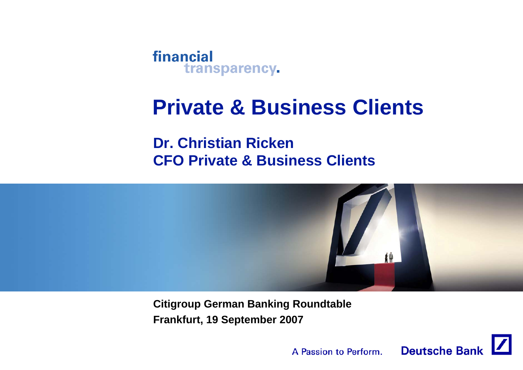

# **Private & Business Clients**

**Dr. Christian RickenCFO Private & Business Clients**



**Citigroup German Banking Roundtable Frankfurt, 19 September 2007**

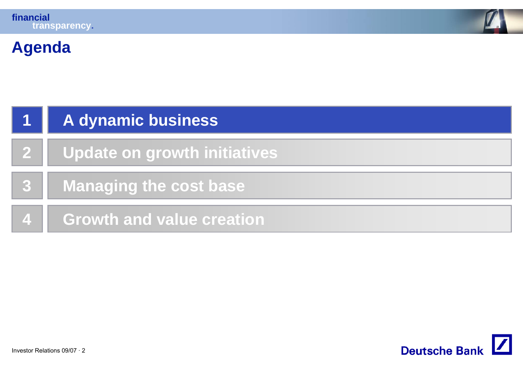

## **Agenda**

|              | A dynamic business            |
|--------------|-------------------------------|
| $\mathbf{2}$ | Update on growth initiatives  |
|              | <b>Managing the cost base</b> |
| $\mathbf{A}$ | Growth and value creation     |

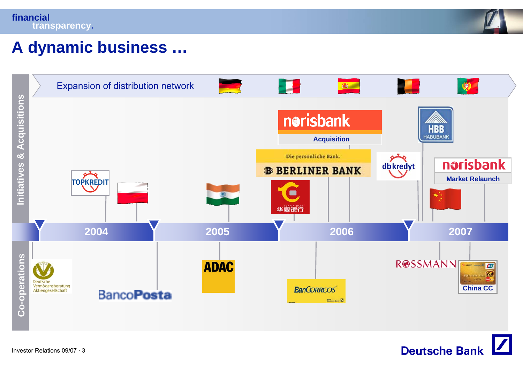



### **A dynamic business …**



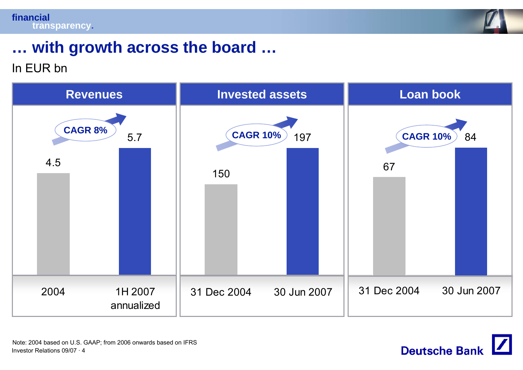



## **… with growth across the board …**

### In EUR bn



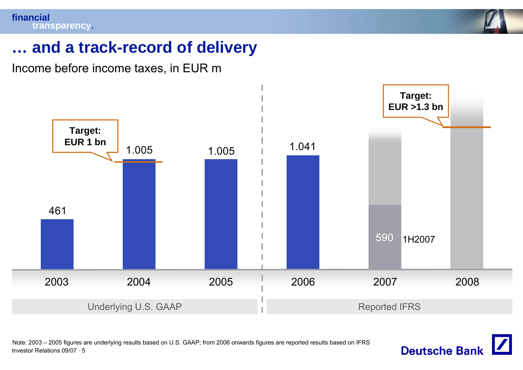

### **… and a track-record of delivery**

Income before income taxes, in EUR m



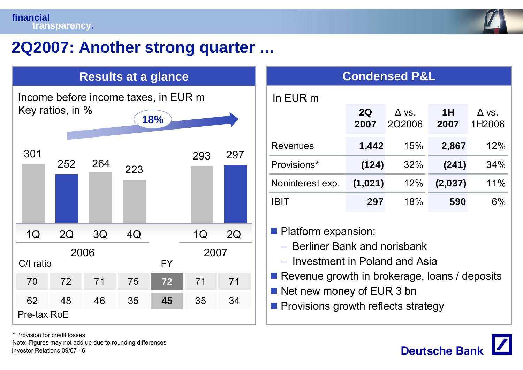

### **2Q2007: Another strong quarter …**

| <b>Results at a glance</b> |                  |     |     |                                      | <b>Condensed P&amp;L</b> |     |                                                                        |            |                        |  |
|----------------------------|------------------|-----|-----|--------------------------------------|--------------------------|-----|------------------------------------------------------------------------|------------|------------------------|--|
|                            |                  |     |     | Income before income taxes, in EUR m |                          |     | In EUR m                                                               |            |                        |  |
|                            | Key ratios, in % |     |     | 18%                                  |                          |     |                                                                        | 2Q<br>2007 | $\Delta$ vs.<br>2Q2006 |  |
| 301                        |                  |     |     |                                      |                          | 297 | <b>Revenues</b>                                                        | 1,442      | 15%                    |  |
|                            | 252              | 264 | 223 |                                      | 293                      |     | Provisions*                                                            | (124)      | 32%                    |  |
|                            |                  |     |     |                                      |                          |     | Noninterest exp.                                                       | (1,021)    | 12%                    |  |
|                            |                  |     |     |                                      |                          |     | <b>IBIT</b>                                                            | 297        | 18%                    |  |
| 1Q                         | 2Q               | 3Q  | 4Q  |                                      | 1Q                       | 2Q  | Platform expansion:                                                    |            |                        |  |
| C/I ratio                  | 2006             |     |     | <b>FY</b>                            | 2007                     |     | - Berliner Bank and norisbank<br>- Investment in Poland and Asia       |            |                        |  |
| 70                         | 72               | 71  | 75  | 72                                   | 71                       | 71  | Revenue growth in brokerage, lo                                        |            |                        |  |
| 62                         | 48               | 46  | 35  | 45                                   | 35                       | 34  | Net new money of EUR 3 bn<br><b>Provisions growth reflects strated</b> |            |                        |  |
| Pre-tax RoE                |                  |     |     |                                      |                          |     |                                                                        |            |                        |  |

| <b>Condensed P&amp;L</b> |            |                        |            |                        |  |  |
|--------------------------|------------|------------------------|------------|------------------------|--|--|
| In EUR m                 |            |                        |            |                        |  |  |
|                          | 2Q<br>2007 | $\Delta$ vs.<br>2Q2006 | 1H<br>2007 | $\Delta$ vs.<br>1H2006 |  |  |
| Revenues                 | 1,442      | 15%                    | 2,867      | 12%                    |  |  |
| Provisions*              | (124)      | 32%                    | (241)      | 34%                    |  |  |
| Noninterest exp.         | (1,021)    | 12%                    | (2,037)    | 11%                    |  |  |
| <b>IBIT</b>              | 297        | 18%                    | 590        | $6\%$                  |  |  |

- Berliner Bank and norisbank
- Investment in Poland and Asia
- **Revenue growth in brokerage, loans / deposits**
- Net new money of EUR 3 bn
- **Provisions growth reflects strategy**



\* Provision for credit losses

Investor Relations 09/07 · 6Note: Figures may not add up due to rounding differences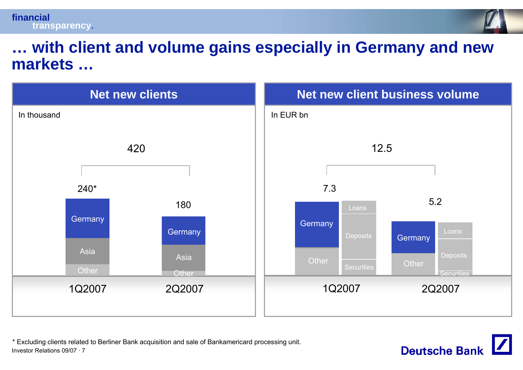



### **… with client and volume gains especially in Germany and new markets …**



Investor Relations 09/07 · 7\* Excluding clients related to Berliner Bank acquisition and sale of Bankamericard processing unit.

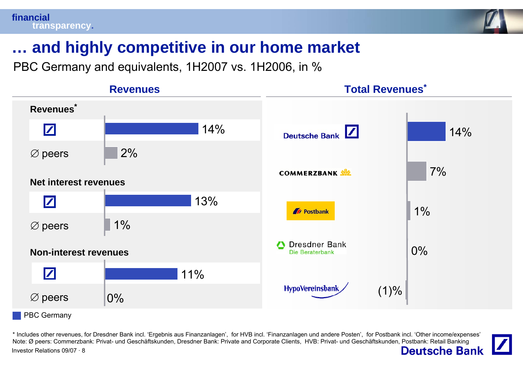

## **… and highly competitive in our home market**

PBC Germany and equivalents, 1H2007 vs. 1H2006, in %



\* Includes other revenues, for Dresdner Bank incl. 'Ergebnis aus Finanzanlagen', for HVB incl. 'Finanzanlagen und andere Posten', for Postbank incl. 'Other income/expenses' Note: Ø peers: Commerzbank: Privat- und Geschäftskunden, Dresdner Bank: Private and Corporate Clients, HVB: Privat- und Geschäftskunden, Postbank: Retail Banking **Deutsche Bank** Investor Relations 09/07 · 8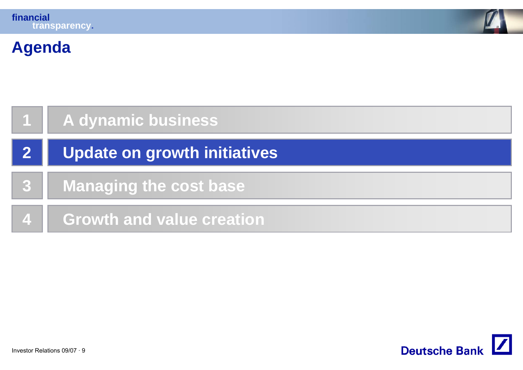

## **Agenda**

|                  | A dynamic business                  |
|------------------|-------------------------------------|
|                  | <b>Update on growth initiatives</b> |
| $\mathbf{3}$     | <b>Managing the cost base</b>       |
| $\blacktriangle$ | <b>Growth and value creation</b>    |

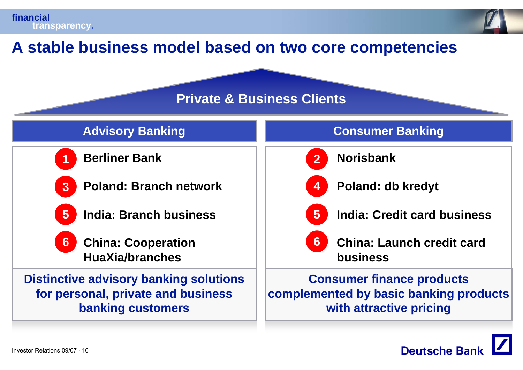



### **A stable business model based on two core competencies**

### **Private & Business Clients**



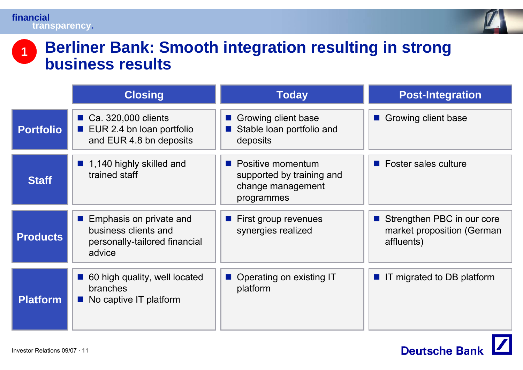

### **Berliner Bank: Smooth integration resulting in strong business results 1**

|                  | <b>Closing</b>                                                                             | <b>Today</b>                                                                        | <b>Post-Integration</b>                                                                               |
|------------------|--------------------------------------------------------------------------------------------|-------------------------------------------------------------------------------------|-------------------------------------------------------------------------------------------------------|
| <b>Portfolio</b> | Ca. 320,000 clients<br>EUR 2.4 bn Ioan portfolio<br>$\sim 1$<br>and EUR 4.8 bn deposits    | Growing client base<br>Stable loan portfolio and<br>deposits                        | Growing client base                                                                                   |
| <b>Staff</b>     | ■ 1,140 highly skilled and<br>trained staff                                                | • Positive momentum<br>supported by training and<br>change management<br>programmes | $\blacksquare$ Foster sales culture                                                                   |
| <b>Products</b>  | Emphasis on private and<br>business clients and<br>personally-tailored financial<br>advice | $\blacksquare$ First group revenues<br>synergies realized                           | Strengthen PBC in our core<br>$\mathcal{O}(\mathbb{R}^d)$<br>market proposition (German<br>affluents) |
| <b>Platform</b>  | 60 high quality, well located<br><b>branches</b><br>No captive IT platform                 | Operating on existing IT<br>platform                                                | ■ IT migrated to DB platform                                                                          |

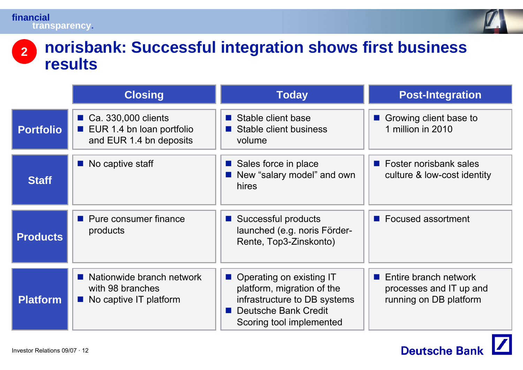

### **norisbank: Successful integration shows first business results 2**

|                  | <b>Closing</b>                                                                       | <b>Today</b>                                                                                                                                          | <b>Post-Integration</b>                                                                   |
|------------------|--------------------------------------------------------------------------------------|-------------------------------------------------------------------------------------------------------------------------------------------------------|-------------------------------------------------------------------------------------------|
| <b>Portfolio</b> | ■ Ca. 330,000 clients<br><b>EUR 1.4 bn loan portfolio</b><br>and EUR 1.4 bn deposits | Stable client base<br>Stable client business<br>volume                                                                                                | Growing client base to<br>1 million in 2010                                               |
| <b>Staff</b>     | $\blacksquare$ No captive staff                                                      | ■ Sales force in place<br>New "salary model" and own<br>hires                                                                                         | $\blacksquare$ Foster norisbank sales<br>culture & low-cost identity                      |
| <b>Products</b>  | • Pure consumer finance<br>products                                                  | ■ Successful products<br>launched (e.g. noris Förder-<br>Rente, Top3-Zinskonto)                                                                       | ■ Focused assortment                                                                      |
| <b>Platform</b>  | Nationwide branch network<br>with 98 branches<br>No captive IT platform              | ■ Operating on existing IT<br>platform, migration of the<br>infrastructure to DB systems<br>Deutsche Bank Credit<br>a a s<br>Scoring tool implemented | $\blacksquare$ Entire branch network<br>processes and IT up and<br>running on DB platform |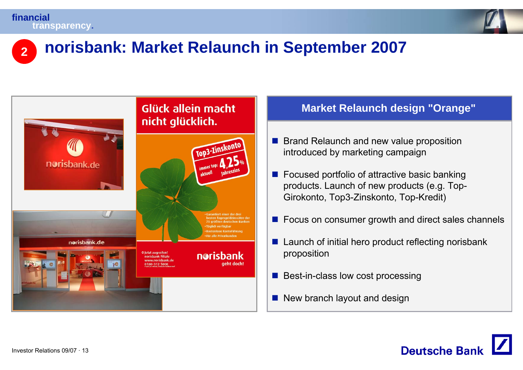



### **2norisbank: Market Relaunch in September 2007**



### **Market Relaunch design "Orange"**

- **Brand Relaunch and new value proposition** introduced by marketing campaign
- Focused portfolio of attractive basic banking products. Launch of new products (e.g. Top-Girokonto, Top3-Zinskonto, Top-Kredit)
- Focus on consumer growth and direct sales channels
- $\blacksquare$  Launch of initial hero product reflecting norisbank proposition
- $\mathcal{L}^{\mathcal{A}}$ Best-in-class low cost processing
- New branch layout and design

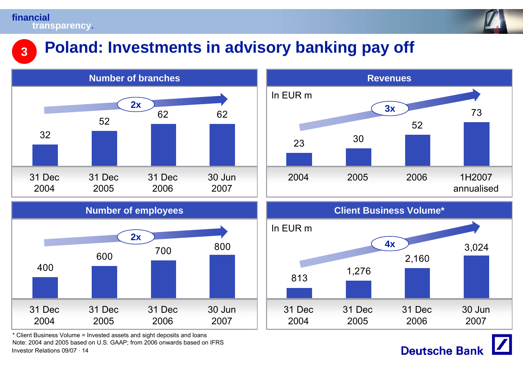**3**



## **Poland: Investments in advisory banking pay off**



Investor Relations 09/07 · 14\* Client Business Volume = Invested assets and sight deposits and loans Note: 2004 and 2005 based on U.S. GAAP; from 2006 onwards based on IFRS





**Deutsche Bank**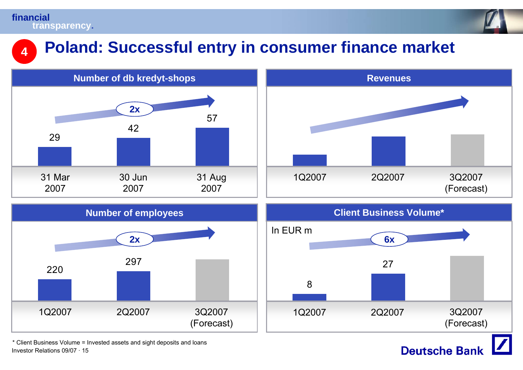**4**



## **Poland: Successful entry in consumer finance market**



Investor Relations 09/07 · 15\* Client Business Volume = Invested assets and sight deposits and loans

## **Deutsche Bank**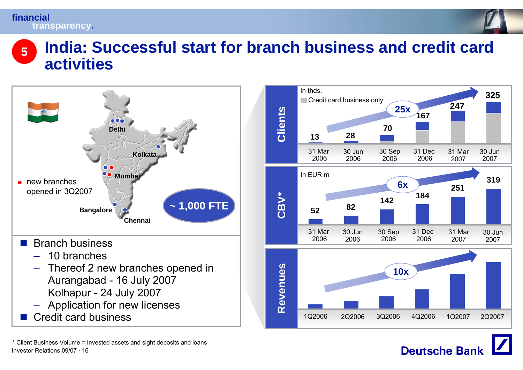

### **India: Successful start for branch business and credit card activities5**



In thds.<u>**1986 - Paris Contract de la Paris de la Paris de la Paris de la Paris de la Paris de la Paris de la Paris de la P**</u> Credit card business only **24725xClients 16770 28 13**31 Mar 30 Jun30 Sep 31 Dec 31 Mar30 Jun200620062006200620072007In EUR m **3196x251CBV\* <sup>184</sup> 142 <sup>82</sup> 52**31 Mar 30 Jun30 Sep 31 Dec 31 Mar30 Jun200620062006200620072007Revenues **Revenues 10x**1Q2006 2Q2006 3Q2006 4Q2006 1Q2007 2Q2007

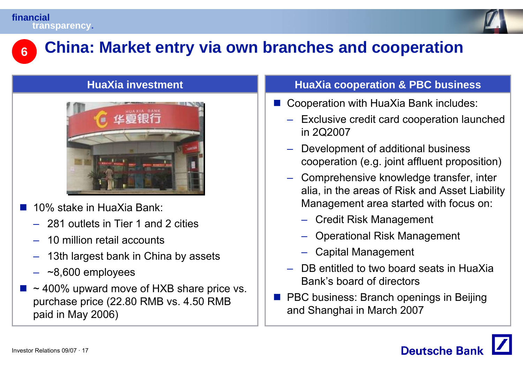

#### **China: Market entry via own branches and cooperation 6**

### **HuaXia investment**



- $\mathbb{R}^3$  10% stake in HuaXia Bank:
	- 281 outlets in Tier 1 and 2 cities
	- 10 million retail accounts
	- 13th largest bank in China by assets
	- ~8,600 employees
- $\mathbb{R}^3$  $\sim$  400% upward move of HXB share price vs. purchase price (22.80 RMB vs. 4.50 RMB paid in May 2006)

### **HuaXia cooperation & PBC business**

- Cooperation with HuaXia Bank includes:
	- Exclusive credit card cooperation launched in 2Q2007
	- Development of additional business cooperation (e.g. joint affluent proposition)
	- Comprehensive knowledge transfer, inter alia, in the areas of Risk and Asset Liability Management area started with focus on:
		- Credit Risk Management
		- Operational Risk Management
		- Capital Management
	- DB entitled to two board seats in HuaXia Bank's board of directors
- **PBC business: Branch openings in Beijing** and Shanghai in March 2007

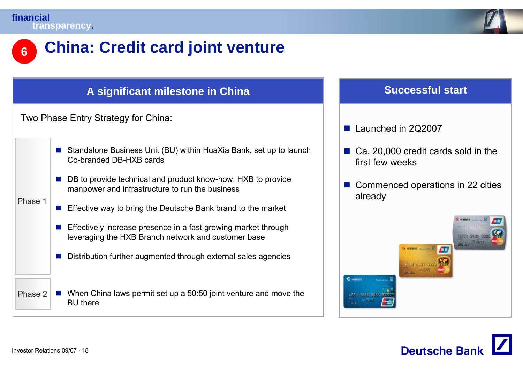

### **6China: Credit card joint venture**

### **A significant milestone in China Successful start** Two Phase Entry Strategy for China: Phase 1Phase 2■ Standalone Business Unit (BU) within HuaXia Bank, set up to launch Co-branded DB-HXB cards■ DB to provide technical and product know-how, HXB to provide manpower and infrastructure to run the business **Effective way to bring the Deutsche Bank brand to the market Effectively increase presence in a fast growing market through** leveraging the HXB Branch network and customer base  $\mathcal{C}^{\mathcal{A}}$  Distribution further augmented through external sales agencies ■ When China laws permit set up a 50:50 joint venture and move the BU there

#### F. Launched in 2Q2007

- Ca. 20,000 credit cards sold in the first few weeks
- Commenced operations in 22 cities already



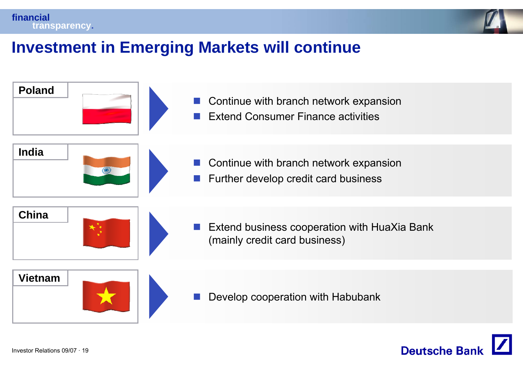



## **Investment in Emerging Markets will continue**



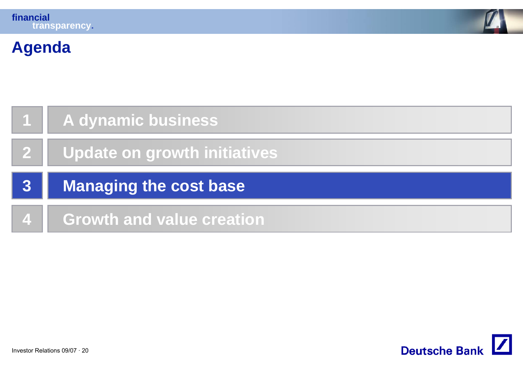

## **Agenda**

|   | A dynamic business           |
|---|------------------------------|
|   | Update on growth initiatives |
|   |                              |
| 3 | Managing the cost base       |

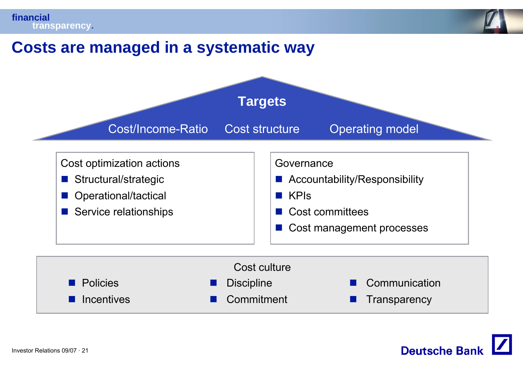

 $\mathbb{R}^2$ 

F. **Transparency** 



F.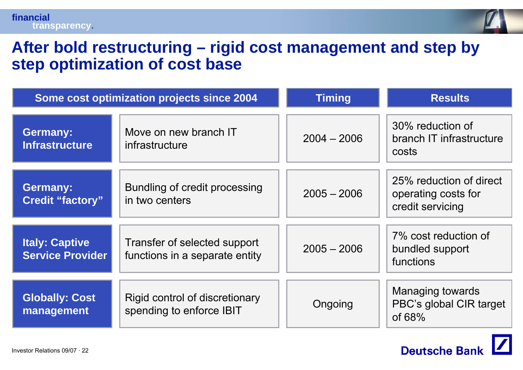

### **After bold restructuring – rigid cost management and step by step optimization of cost base**

|                                                  | Some cost optimization projects since 2004                     | <b>Timing</b> | <b>Results</b>                                                     |
|--------------------------------------------------|----------------------------------------------------------------|---------------|--------------------------------------------------------------------|
| <b>Germany:</b><br><b>Infrastructure</b>         | Move on new branch IT<br>infrastructure                        | $2004 - 2006$ | 30% reduction of<br>branch IT infrastructure<br>costs              |
| <b>Germany:</b><br><b>Credit "factory"</b>       | Bundling of credit processing<br>in two centers                | $2005 - 2006$ | 25% reduction of direct<br>operating costs for<br>credit servicing |
| <b>Italy: Captive</b><br><b>Service Provider</b> | Transfer of selected support<br>functions in a separate entity | $2005 - 2006$ | 7% cost reduction of<br>bundled support<br>functions               |
| <b>Globally: Cost</b><br>management              | Rigid control of discretionary<br>spending to enforce IBIT     | Ongoing       | <b>Managing towards</b><br>PBC's global CIR target<br>of $68%$     |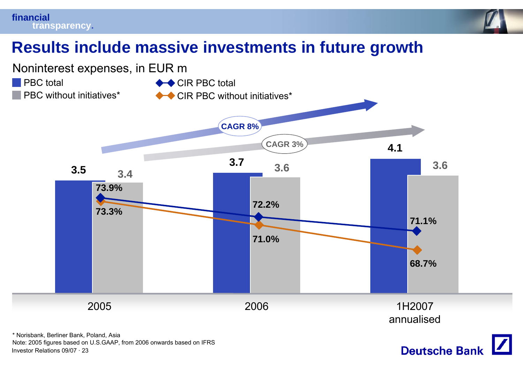



### **Results include massive investments in future growth**



Investor Relations 09/07 · 23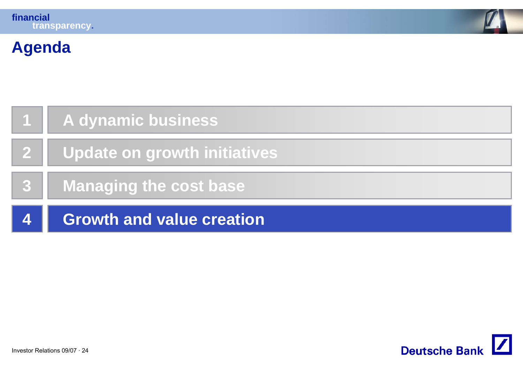

## **Agenda**

|   | A dynamic business               |
|---|----------------------------------|
|   | Update on growth initiatives     |
|   | Managing the cost base           |
| 4 | <b>Growth and value creation</b> |

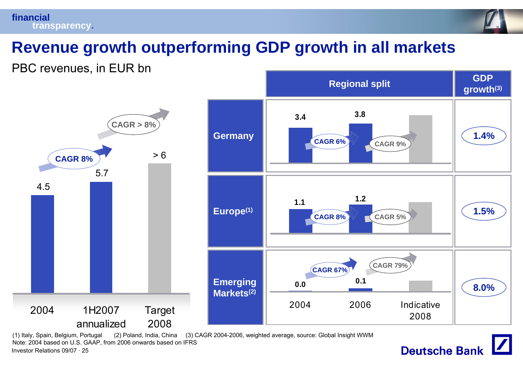



## **Revenue growth outperforming GDP growth in all markets**

PBC revenues, in EUR bn



Investor Relations 09/07 · 25(1) Italy, Spain, Belgium, Portugal (2) Poland, India, China (3) CAGR 2004-2006, weighted average, source: Global Insight WWM Note: 2004 based on U.S. GAAP, from 2006 onwards based on IFRS

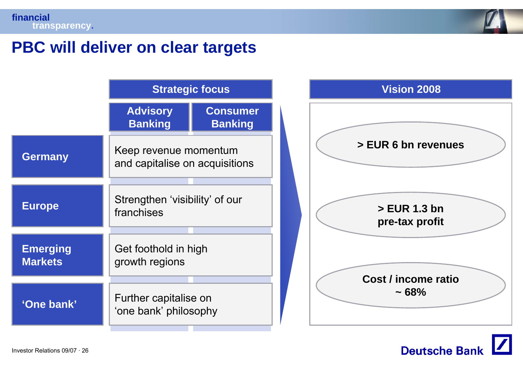

### **PBC will deliver on clear targets**

|                                   | <b>Strategic focus</b>                                  |                                   |  |
|-----------------------------------|---------------------------------------------------------|-----------------------------------|--|
|                                   | <b>Advisory</b><br><b>Banking</b>                       | <b>Consumer</b><br><b>Banking</b> |  |
| <b>Germany</b>                    | Keep revenue momentum<br>and capitalise on acquisitions |                                   |  |
| <b>Europe</b>                     | Strengthen 'visibility' of our<br>franchises            |                                   |  |
| <b>Emerging</b><br><b>Markets</b> | Get foothold in high<br>growth regions                  |                                   |  |
| 'One bank'                        | Further capitalise on<br>'one bank' philosophy          |                                   |  |